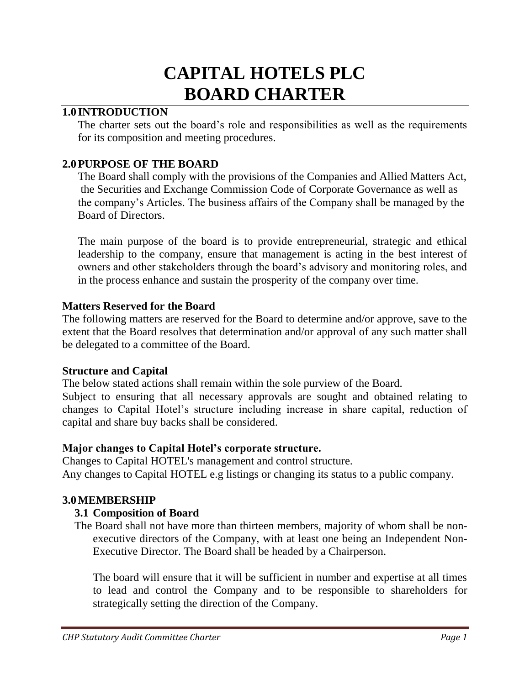# **CAPITAL HOTELS PLC BOARD CHARTER**

## **1.0 INTRODUCTION**

The charter sets out the board's role and responsibilities as well as the requirements for its composition and meeting procedures.

## **2.0PURPOSE OF THE BOARD**

The Board shall comply with the provisions of the Companies and Allied Matters Act, the Securities and Exchange Commission Code of Corporate Governance as well as the company's Articles. The business affairs of the Company shall be managed by the Board of Directors.

The main purpose of the board is to provide entrepreneurial, strategic and ethical leadership to the company, ensure that management is acting in the best interest of owners and other stakeholders through the board's advisory and monitoring roles, and in the process enhance and sustain the prosperity of the company over time.

## **Matters Reserved for the Board**

The following matters are reserved for the Board to determine and/or approve, save to the extent that the Board resolves that determination and/or approval of any such matter shall be delegated to a committee of the Board.

#### **Structure and Capital**

The below stated actions shall remain within the sole purview of the Board.

Subject to ensuring that all necessary approvals are sought and obtained relating to changes to Capital Hotel's structure including increase in share capital, reduction of capital and share buy backs shall be considered.

## **Major changes to Capital Hotel's corporate structure.**

Changes to Capital HOTEL's management and control structure. Any changes to Capital HOTEL e.g listings or changing its status to a public company.

## **3.0MEMBERSHIP**

## **3.1 Composition of Board**

The Board shall not have more than thirteen members, majority of whom shall be nonexecutive directors of the Company, with at least one being an Independent Non-Executive Director. The Board shall be headed by a Chairperson.

The board will ensure that it will be sufficient in number and expertise at all times to lead and control the Company and to be responsible to shareholders for strategically setting the direction of the Company.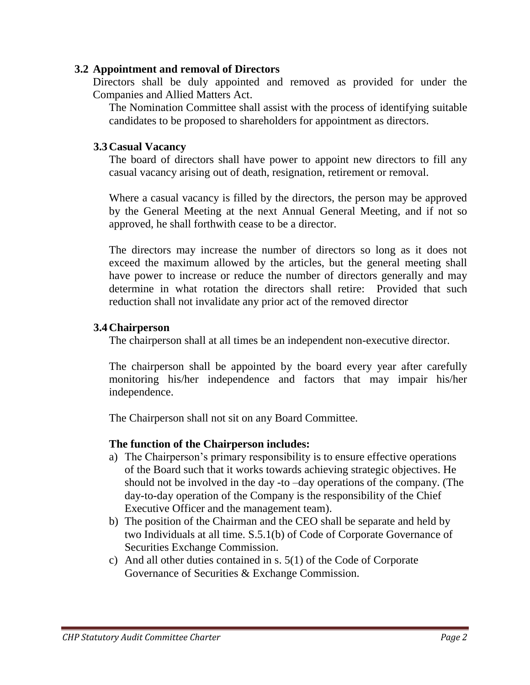### **3.2 Appointment and removal of Directors**

Directors shall be duly appointed and removed as provided for under the Companies and Allied Matters Act.

The Nomination Committee shall assist with the process of identifying suitable candidates to be proposed to shareholders for appointment as directors.

## **3.3Casual Vacancy**

The board of directors shall have power to appoint new directors to fill any casual vacancy arising out of death, resignation, retirement or removal.

Where a casual vacancy is filled by the directors, the person may be approved by the General Meeting at the next Annual General Meeting, and if not so approved, he shall forthwith cease to be a director.

The directors may increase the number of directors so long as it does not exceed the maximum allowed by the articles, but the general meeting shall have power to increase or reduce the number of directors generally and may determine in what rotation the directors shall retire: Provided that such reduction shall not invalidate any prior act of the removed director

## **3.4Chairperson**

The chairperson shall at all times be an independent non-executive director.

The chairperson shall be appointed by the board every year after carefully monitoring his/her independence and factors that may impair his/her independence.

The Chairperson shall not sit on any Board Committee.

## **The function of the Chairperson includes:**

- a) The Chairperson's primary responsibility is to ensure effective operations of the Board such that it works towards achieving strategic objectives. He should not be involved in the day -to –day operations of the company. (The day-to-day operation of the Company is the responsibility of the Chief Executive Officer and the management team).
- b) The position of the Chairman and the CEO shall be separate and held by two Individuals at all time. S.5.1(b) of Code of Corporate Governance of Securities Exchange Commission.
- c) And all other duties contained in s. 5(1) of the Code of Corporate Governance of Securities & Exchange Commission.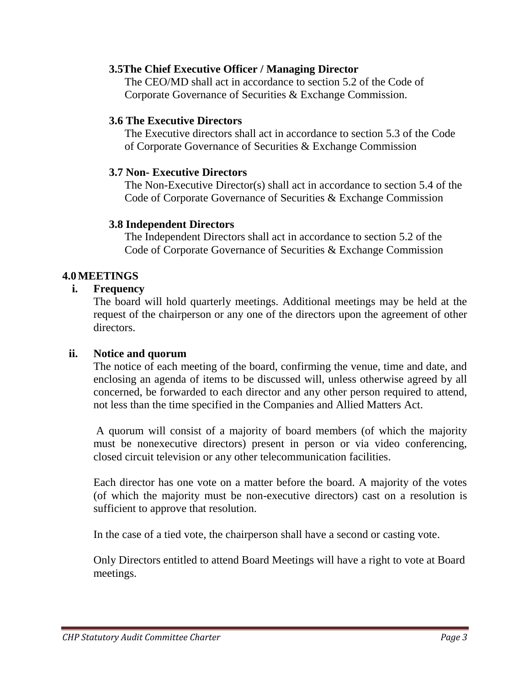#### **3.5The Chief Executive Officer / Managing Director**

The CEO/MD shall act in accordance to section 5.2 of the Code of Corporate Governance of Securities & Exchange Commission.

#### **3.6 The Executive Directors**

The Executive directors shall act in accordance to section 5.3 of the Code of Corporate Governance of Securities & Exchange Commission

#### **3.7 Non- Executive Directors**

The Non-Executive Director(s) shall act in accordance to section 5.4 of the Code of Corporate Governance of Securities & Exchange Commission

#### **3.8 Independent Directors**

The Independent Directors shall act in accordance to section 5.2 of the Code of Corporate Governance of Securities & Exchange Commission

#### **4.0MEETINGS**

#### **i. Frequency**

The board will hold quarterly meetings. Additional meetings may be held at the request of the chairperson or any one of the directors upon the agreement of other directors.

#### **ii. Notice and quorum**

The notice of each meeting of the board, confirming the venue, time and date, and enclosing an agenda of items to be discussed will, unless otherwise agreed by all concerned, be forwarded to each director and any other person required to attend, not less than the time specified in the Companies and Allied Matters Act.

A quorum will consist of a majority of board members (of which the majority must be nonexecutive directors) present in person or via video conferencing, closed circuit television or any other telecommunication facilities.

Each director has one vote on a matter before the board. A majority of the votes (of which the majority must be non-executive directors) cast on a resolution is sufficient to approve that resolution.

In the case of a tied vote, the chairperson shall have a second or casting vote.

Only Directors entitled to attend Board Meetings will have a right to vote at Board meetings.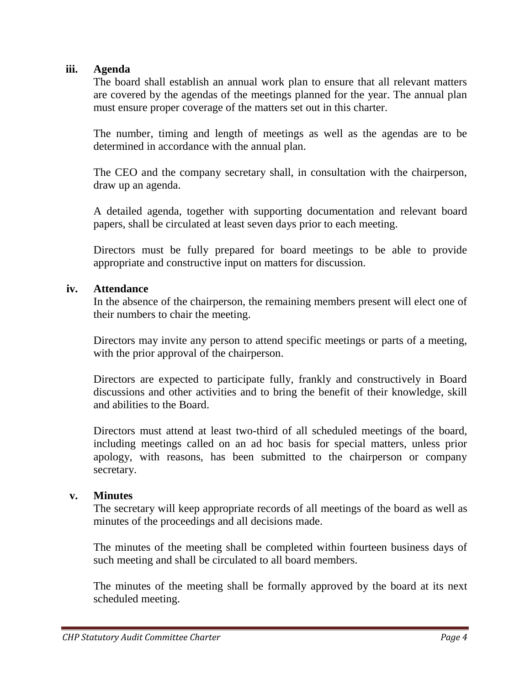#### **iii. Agenda**

The board shall establish an annual work plan to ensure that all relevant matters are covered by the agendas of the meetings planned for the year. The annual plan must ensure proper coverage of the matters set out in this charter.

The number, timing and length of meetings as well as the agendas are to be determined in accordance with the annual plan.

The CEO and the company secretary shall, in consultation with the chairperson, draw up an agenda.

A detailed agenda, together with supporting documentation and relevant board papers, shall be circulated at least seven days prior to each meeting.

Directors must be fully prepared for board meetings to be able to provide appropriate and constructive input on matters for discussion.

#### **iv. Attendance**

In the absence of the chairperson, the remaining members present will elect one of their numbers to chair the meeting.

Directors may invite any person to attend specific meetings or parts of a meeting, with the prior approval of the chairperson.

Directors are expected to participate fully, frankly and constructively in Board discussions and other activities and to bring the benefit of their knowledge, skill and abilities to the Board.

Directors must attend at least two-third of all scheduled meetings of the board, including meetings called on an ad hoc basis for special matters, unless prior apology, with reasons, has been submitted to the chairperson or company secretary.

#### **v. Minutes**

The secretary will keep appropriate records of all meetings of the board as well as minutes of the proceedings and all decisions made.

The minutes of the meeting shall be completed within fourteen business days of such meeting and shall be circulated to all board members.

The minutes of the meeting shall be formally approved by the board at its next scheduled meeting.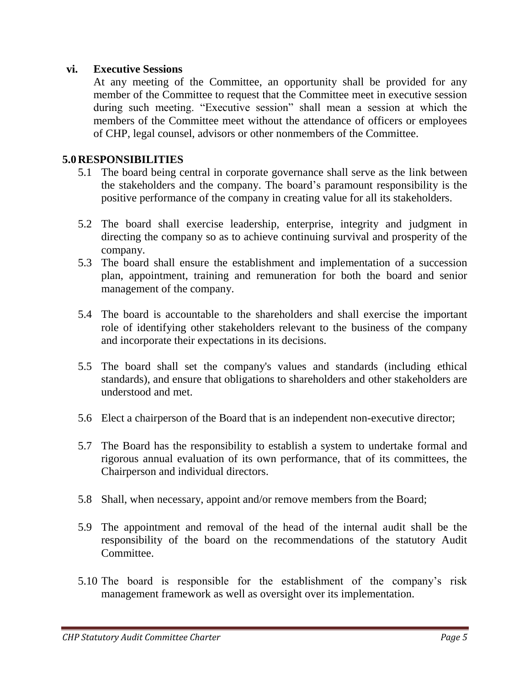#### **vi. Executive Sessions**

At any meeting of the Committee, an opportunity shall be provided for any member of the Committee to request that the Committee meet in executive session during such meeting. "Executive session" shall mean a session at which the members of the Committee meet without the attendance of officers or employees of CHP, legal counsel, advisors or other nonmembers of the Committee.

#### **5.0RESPONSIBILITIES**

- 5.1 The board being central in corporate governance shall serve as the link between the stakeholders and the company. The board's paramount responsibility is the positive performance of the company in creating value for all its stakeholders.
- 5.2 The board shall exercise leadership, enterprise, integrity and judgment in directing the company so as to achieve continuing survival and prosperity of the company.
- 5.3 The board shall ensure the establishment and implementation of a succession plan, appointment, training and remuneration for both the board and senior management of the company.
- 5.4 The board is accountable to the shareholders and shall exercise the important role of identifying other stakeholders relevant to the business of the company and incorporate their expectations in its decisions.
- 5.5 The board shall set the company's values and standards (including ethical standards), and ensure that obligations to shareholders and other stakeholders are understood and met.
- 5.6 Elect a chairperson of the Board that is an independent non-executive director;
- 5.7 The Board has the responsibility to establish a system to undertake formal and rigorous annual evaluation of its own performance, that of its committees, the Chairperson and individual directors.
- 5.8 Shall, when necessary, appoint and/or remove members from the Board;
- 5.9 The appointment and removal of the head of the internal audit shall be the responsibility of the board on the recommendations of the statutory Audit Committee.
- 5.10 The board is responsible for the establishment of the company's risk management framework as well as oversight over its implementation.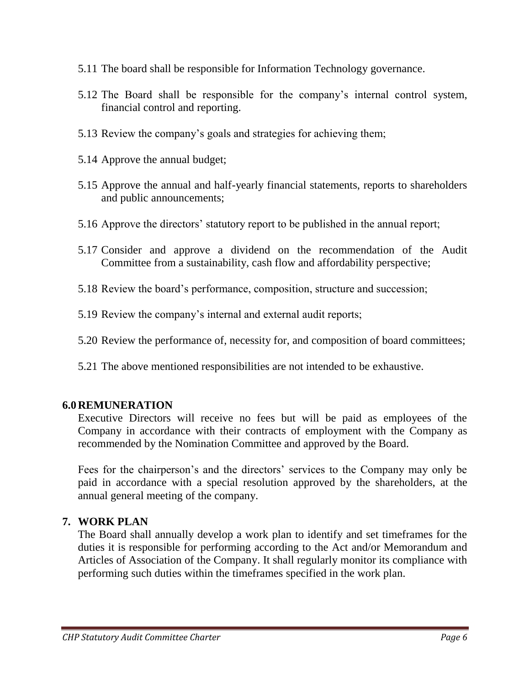- 5.11 The board shall be responsible for Information Technology governance.
- 5.12 The Board shall be responsible for the company's internal control system, financial control and reporting.
- 5.13 Review the company's goals and strategies for achieving them;
- 5.14 Approve the annual budget;
- 5.15 Approve the annual and half-yearly financial statements, reports to shareholders and public announcements;
- 5.16 Approve the directors' statutory report to be published in the annual report;
- 5.17 Consider and approve a dividend on the recommendation of the Audit Committee from a sustainability, cash flow and affordability perspective;
- 5.18 Review the board's performance, composition, structure and succession;
- 5.19 Review the company's internal and external audit reports;
- 5.20 Review the performance of, necessity for, and composition of board committees;
- 5.21 The above mentioned responsibilities are not intended to be exhaustive.

#### **6.0REMUNERATION**

Executive Directors will receive no fees but will be paid as employees of the Company in accordance with their contracts of employment with the Company as recommended by the Nomination Committee and approved by the Board.

Fees for the chairperson's and the directors' services to the Company may only be paid in accordance with a special resolution approved by the shareholders, at the annual general meeting of the company.

## **7. WORK PLAN**

The Board shall annually develop a work plan to identify and set timeframes for the duties it is responsible for performing according to the Act and/or Memorandum and Articles of Association of the Company. It shall regularly monitor its compliance with performing such duties within the timeframes specified in the work plan.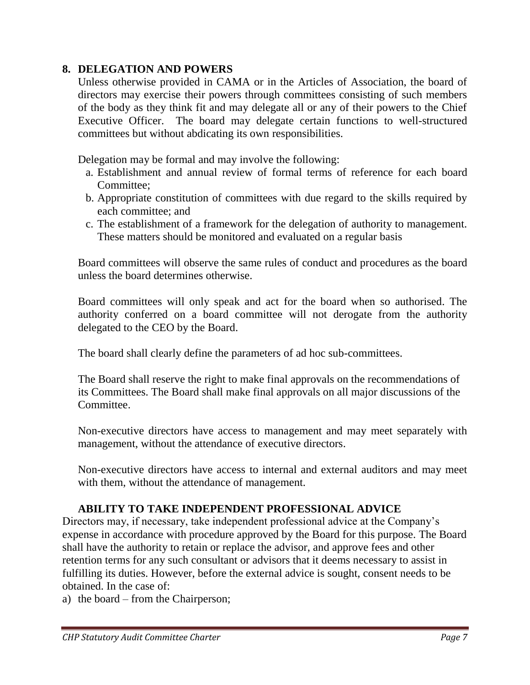## **8. DELEGATION AND POWERS**

Unless otherwise provided in CAMA or in the Articles of Association, the board of directors may exercise their powers through committees consisting of such members of the body as they think fit and may delegate all or any of their powers to the Chief Executive Officer. The board may delegate certain functions to well-structured committees but without abdicating its own responsibilities.

Delegation may be formal and may involve the following:

- a. Establishment and annual review of formal terms of reference for each board Committee;
- b. Appropriate constitution of committees with due regard to the skills required by each committee; and
- c. The establishment of a framework for the delegation of authority to management. These matters should be monitored and evaluated on a regular basis

Board committees will observe the same rules of conduct and procedures as the board unless the board determines otherwise.

Board committees will only speak and act for the board when so authorised. The authority conferred on a board committee will not derogate from the authority delegated to the CEO by the Board.

The board shall clearly define the parameters of ad hoc sub-committees.

The Board shall reserve the right to make final approvals on the recommendations of its Committees. The Board shall make final approvals on all major discussions of the Committee.

Non-executive directors have access to management and may meet separately with management, without the attendance of executive directors.

Non-executive directors have access to internal and external auditors and may meet with them, without the attendance of management.

## **ABILITY TO TAKE INDEPENDENT PROFESSIONAL ADVICE**

Directors may, if necessary, take independent professional advice at the Company's expense in accordance with procedure approved by the Board for this purpose. The Board shall have the authority to retain or replace the advisor, and approve fees and other retention terms for any such consultant or advisors that it deems necessary to assist in fulfilling its duties. However, before the external advice is sought, consent needs to be obtained. In the case of:

a) the board – from the Chairperson;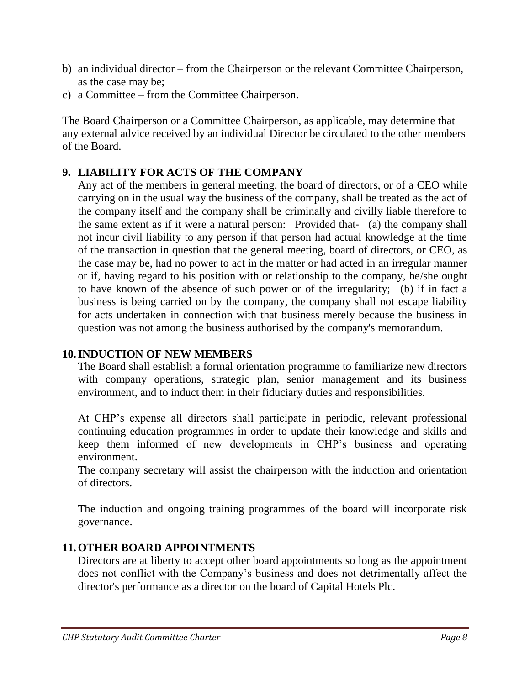- b) an individual director from the Chairperson or the relevant Committee Chairperson, as the case may be;
- c) a Committee from the Committee Chairperson.

The Board Chairperson or a Committee Chairperson, as applicable, may determine that any external advice received by an individual Director be circulated to the other members of the Board.

# **9. LIABILITY FOR ACTS OF THE COMPANY**

Any act of the members in general meeting, the board of directors, or of a CEO while carrying on in the usual way the business of the company, shall be treated as the act of the company itself and the company shall be criminally and civilly liable therefore to the same extent as if it were a natural person: Provided that‐ (a) the company shall not incur civil liability to any person if that person had actual knowledge at the time of the transaction in question that the general meeting, board of directors, or CEO, as the case may be, had no power to act in the matter or had acted in an irregular manner or if, having regard to his position with or relationship to the company, he/she ought to have known of the absence of such power or of the irregularity; (b) if in fact a business is being carried on by the company, the company shall not escape liability for acts undertaken in connection with that business merely because the business in question was not among the business authorised by the company's memorandum.

# **10.INDUCTION OF NEW MEMBERS**

The Board shall establish a formal orientation programme to familiarize new directors with company operations, strategic plan, senior management and its business environment, and to induct them in their fiduciary duties and responsibilities.

At CHP's expense all directors shall participate in periodic, relevant professional continuing education programmes in order to update their knowledge and skills and keep them informed of new developments in CHP's business and operating environment.

The company secretary will assist the chairperson with the induction and orientation of directors.

The induction and ongoing training programmes of the board will incorporate risk governance.

# **11.OTHER BOARD APPOINTMENTS**

Directors are at liberty to accept other board appointments so long as the appointment does not conflict with the Company's business and does not detrimentally affect the director's performance as a director on the board of Capital Hotels Plc.